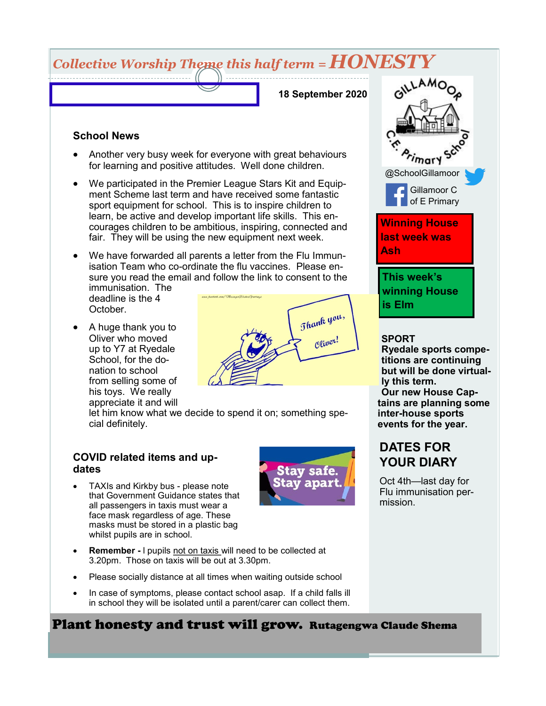# *Collective Worship Theme this half term = HONESTY*

**18 September 2020**

#### **School News**

- Another very busy week for everyone with great behaviours for learning and positive attitudes. Well done children.
- We participated in the Premier League Stars Kit and Equipment Scheme last term and have received some fantastic sport equipment for school. This is to inspire children to learn, be active and develop important life skills. This encourages children to be ambitious, inspiring, connected and fair. They will be using the new equipment next week.
- We have forwarded all parents a letter from the Flu Immunisation Team who co-ordinate the flu vaccines. Please ensure you read the email and follow the link to consent to the immunisation. The

deadline is the 4 October.

• A huge thank you to Oliver who moved up to Y7 at Ryedale School, for the donation to school from selling some of his toys. We really appreciate it and will



let him know what we decide to spend it on; something special definitely.

#### **COVID related items and updates**

• TAXIs and Kirkby bus - please note that Government Guidance states that all passengers in taxis must wear a face mask regardless of age. These masks must be stored in a plastic bag whilst pupils are in school.



- **Remember -** l pupils not on taxis will need to be collected at 3.20pm. Those on taxis will be out at 3.30pm.
- Please socially distance at all times when waiting outside school
- In case of symptoms, please contact school asap. If a child falls ill in school they will be isolated until a parent/carer can collect them.

### Plant honesty and trust will grow. Rutagengwa Claude Shema



#### **SPORT**

**Ryedale sports competitions are continuing but will be done virtually this term. Our new House Captains are planning some inter-house sports events for the year.**

## **DATES FOR YOUR DIARY**

Oct 4th—last day for Flu immunisation permission.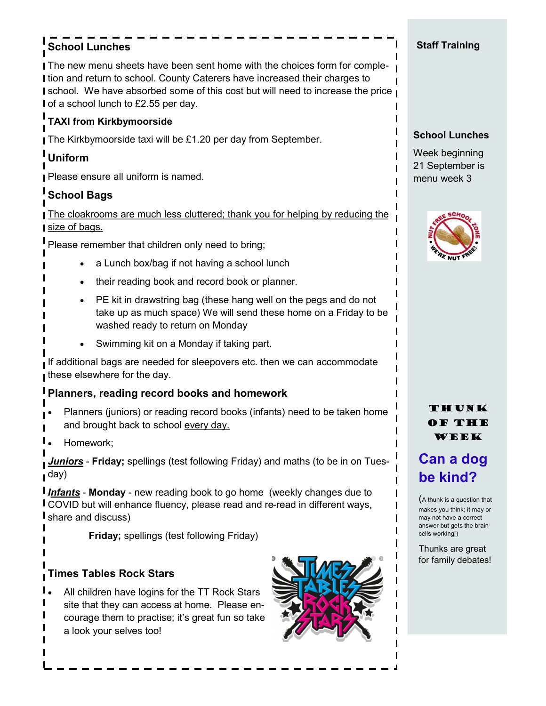## **School Lunches**

The new menu sheets have been sent home with the choices form for comple-I tion and return to school. County Caterers have increased their charges to **I** school. We have absorbed some of this cost but will need to increase the price **I** I of a school lunch to £2.55 per day.

## **TAXI from Kirkbymoorside**

The Kirkbymoorside taxi will be £1.20 per day from September.

## **Uniform**

Please ensure all uniform is named.

### **School Bags**

The cloakrooms are much less cluttered; thank you for helping by reducing the size of bags.

Please remember that children only need to bring;

- a Lunch box/bag if not having a school lunch
- their reading book and record book or planner.
- PE kit in drawstring bag (these hang well on the pegs and do not take up as much space) We will send these home on a Friday to be washed ready to return on Monday
- Swimming kit on a Monday if taking part.

If additional bags are needed for sleepovers etc. then we can accommodate these elsewhere for the day.

#### **Planners, reading record books and homework**

- Planners (juniors) or reading record books (infants) need to be taken home and brought back to school every day.
- Homework;

*Juniors* - **Friday;** spellings (test following Friday) and maths (to be in on Tuesday)

*Infants* - **Monday** - new reading book to go home (weekly changes due to **I** COVID but will enhance fluency, please read and re-read in different ways, **I** share and discuss)

**Friday;** spellings (test following Friday)

### **Times Tables Rock Stars**

All children have logins for the TT Rock Stars site that they can access at home. Please encourage them to practise; it's great fun so take a look your selves too!



#### **Staff Training**

#### **School Lunches**

Week beginning 21 September is menu week 3



#### THUNK of the week

## **Can a dog be kind?**

(A thunk is a question that makes you think; it may or may not have a correct answer but gets the brain cells working!)

Thunks are great for family debates!